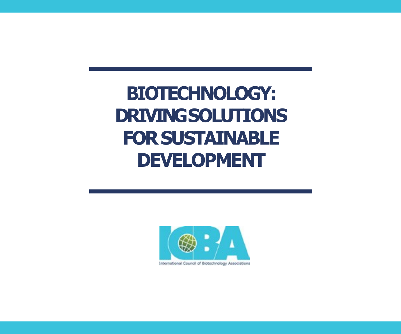## **BIOTECHNOLOGY: DRIVINGSOLUTIONS FOR SUSTAINABLE DEVELOPMENT**



International Council of Biotechnology Associations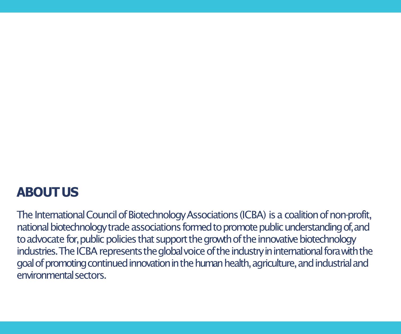### **ABOUTUS**

The International Council of Biotechnology Associations (ICBA) is a coalition of non-profit, national biotechnology trade associations formed to promote public understanding of, and to advocate for, public policies that support the growth of the innovative biotechnology industries. The ICBA represents the global voice of the industry in international fora with the goal of promoting continued innovation in the human health, agriculture, and industrial and environmentalsectors.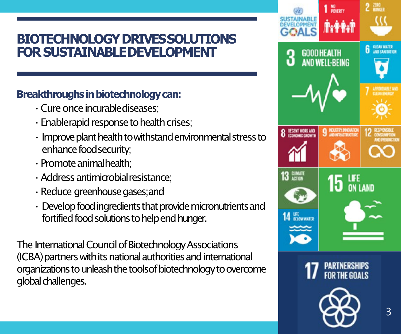### **BIOTECHNOLOGY DRIVESSOLUTIONS FOR SUSTAINABLEDEVELOPMENT**

### **Breakthroughs in biotechnologycan:**

- •Cure once incurablediseases;
- •Enablerapid response to health crises;
- $\cdot$  Improve plant health to withstand environmental stress to enhance foodsecurity;
- •Promote animalhealth;
- •Address antimicrobialresistance;
- •Reduce greenhouse gases;and
- $\cdot$  Develop food ingredients that provide micronutrients and fortified food solutions to help end hunger.

The International Council of Biotechnology Associations (ICBA) partners with its national authorities and international organizations to unleash the toolsof biotechnology to overcome global challenges.

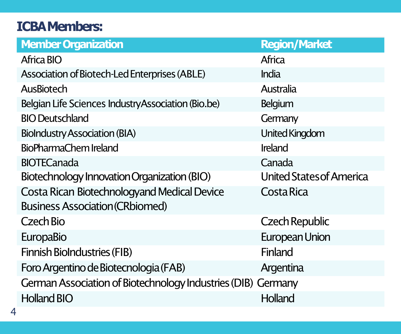### **ICBAMembers:**

| <b>Member Organization</b>                                   | <b>Region/Market</b>            |  |  |  |
|--------------------------------------------------------------|---------------------------------|--|--|--|
| Africa BIO                                                   | Africa                          |  |  |  |
| Association of Biotech-Led Enterprises (ABLE)                | India                           |  |  |  |
| AusBiotech                                                   | Australia                       |  |  |  |
| Belgian Life Sciences IndustryAssociation (Bio.be)           | Belgium                         |  |  |  |
| <b>BIO Deutschland</b>                                       | Germany                         |  |  |  |
| <b>BioIndustry Association (BIA)</b>                         | United Kingdom                  |  |  |  |
| BioPharmaChem Ireland                                        | Ireland                         |  |  |  |
| <b>BIOTECanada</b>                                           | Canada                          |  |  |  |
| Biotechnology Innovation Organization (BIO)                  | <b>United States of America</b> |  |  |  |
| Costa Rican Biotechnologyand Medical Device                  | Costa Rica                      |  |  |  |
| <b>Business Association (CRbiomed)</b>                       |                                 |  |  |  |
| Czech Bio                                                    | Czech Republic                  |  |  |  |
| <b>EuropaBio</b>                                             | European Union                  |  |  |  |
| <b>Finnish BioIndustries (FIB)</b>                           | Finland                         |  |  |  |
| Foro Argentino de Biotecnologia (FAB)                        | Argentina                       |  |  |  |
| German Association of Biotechnology Industries (DIB) Germany |                                 |  |  |  |
| <b>Holland BIO</b>                                           | Holland                         |  |  |  |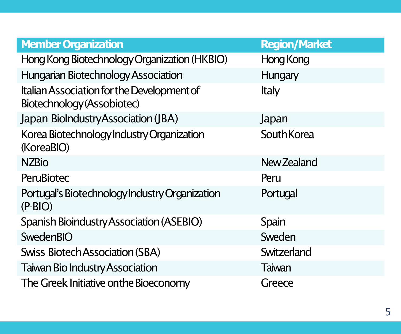| <b>Member Organization</b>                                               | <b>Region/Market</b> |  |
|--------------------------------------------------------------------------|----------------------|--|
| Hong Kong Biotechnology Organization (HKBIO)                             | Hong Kong            |  |
| Hungarian Biotechnology Association                                      | Hungary              |  |
| Italian Association for the Development of<br>Biotechnology (Assobiotec) | <b>Italy</b>         |  |
| Japan BioIndustryAssociation (JBA)                                       | Japan                |  |
| Korea Biotechnology Industry Organization<br>(KoreaBIO)                  | SouthKorea           |  |
| <b>NZBio</b>                                                             | New Zealand          |  |
| <b>PeruBiotec</b>                                                        | Peru                 |  |
| Portugal's Biotechnology Industry Organization<br>$(P-BIO)$              | Portugal             |  |
| Spanish Bioindustry Association (ASEBIO)                                 | Spain                |  |
| SwedenBIO                                                                | Sweden               |  |
| <b>Swiss Biotech Association (SBA)</b>                                   | Switzerland          |  |
| <b>Taiwan Bio Industry Association</b>                                   | Taiwan               |  |
| The Greek Initiative onthe Bioeconomy                                    | Greece               |  |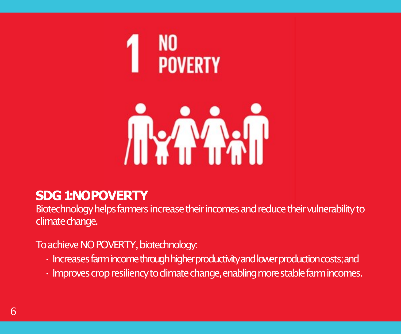



### **SDG 1: NOPOVERTY**

Biotechnology helps farmers increase their incomes and reduce their vulnerability to climate change.

To achieve NO POVERTY, biotechnology:

- Increases farmincome through higher productivity and lower production costs; and
- Improves crop resiliency to climate change, enabling more stable farm incomes.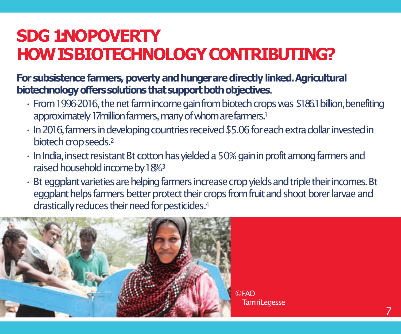## **SDG 1:NOPOVERTY HOW IS BIOTECHNOLOGYCONTRIBUTING?**

**For subsistence farmers, poverty and hunger are directly linked.Agricultural biotechnologyofferssolutionsthatsupportbothobjectives**.

- From 1996-2016, the net farm income gain from biotech crops was \$186.1 billion,benefiting approximately 17 million farmers, many of whom are farmers.<sup>1</sup>
- $\cdot$  In 2016, farmers in developing countries received \$5.06 for each extra dollar invested in biotech crop seeds.<sup>2</sup>
- In India, insect resistant Bt cotton has yielded a 50% gain in profit among farmers and raised household income by 18%<sup>3</sup>
- Bt eggplant varieties are helping farmers increase crop yields and triple their incomes. Bt eggplant helps farmers better protect their crops from fruit and shoot borer larvae and drastically reduces their need for pesticides.<sup>4</sup>



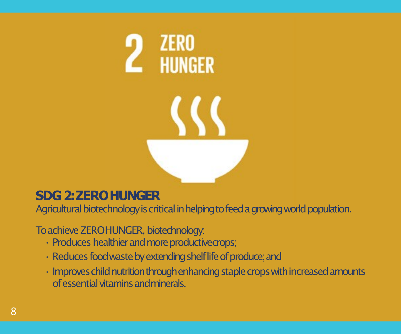

### **SDG 2: ZEROHUNGER**

Agricultural biotechnology is critical in helping to feed a growing world population.

To achieve ZEROHUNGER, biotechnology:

- Produces healthier and more productivecrops;
- $\cdot$  Reduces food waste by extending shelf life of produce; and
- $\cdot$  Improves child nutrition through enhancing staple crops with increased amounts of essential vitamins andminerals.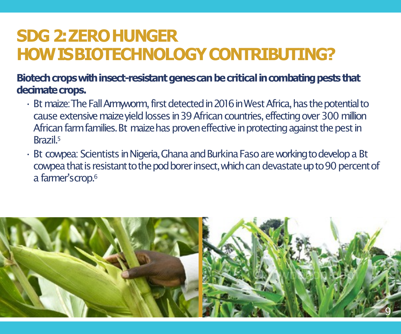## **SDG 2: ZEROHUNGER HOW IS BIOTECHNOLOGYCONTRIBUTING?**

### Biotech crops with insect-resistant genes can be critical in combating pests that decimate crops.

- Bt maize: The Fall Armyworm, first detected in 2016 in West Africa, has the potential to cause extensive maize yield losses in 39 African countries, effecting over 300 million African farm families. Bt maize has proven effective in protecting against the pest in Brazil.5
- Bt cowpea: Scientists in Nigeria, Ghana and Burkina Faso are working to develop a Bt cowpea that is resistant to the pod borer insect, which can devastate up to 90 percent of a farmer'scrop.6

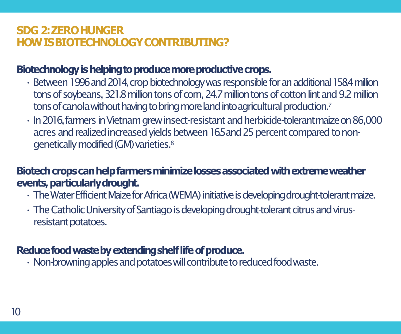### **SDG 2: ZEROHUNGER HOW IS BIOTECHNOLOGYCONTRIBUTING?**

### Biotechnology is helping to produce more productive crops.

- Between 1996 and 2014, crop biotechnology was responsible for an additional 158.4 million tons of soybeans, 321.8 million tons of com, 24.7 million tons of cotton lint and 9.2 million tons of canola without having to bring more land into agricultural production.<sup>7</sup>
- In 2016, farmers in Vietnam grew insect-resistant and herbicide-tolerantmaize on 86,000 acres and realized increased yields between 16.5 and 25 percent compared to nongenetically modified (GM) varieties.<sup>8</sup>

### Biotech crops can help farmers minimize losses associated with extreme weather **events, particularlydrought.**

- The Water Efficient Maize for Africa (WEMA) initiative is developing drought-tolerant maize.
- $\cdot$  The Catholic University of Santiago is developing drought-tolerant citrus and virusresistant potatoes.

### **Reducefoodwastebyextendingshelflifeofproduce.**

 $\cdot$  Non-browning apples and potatoes will contribute to reduced food waste.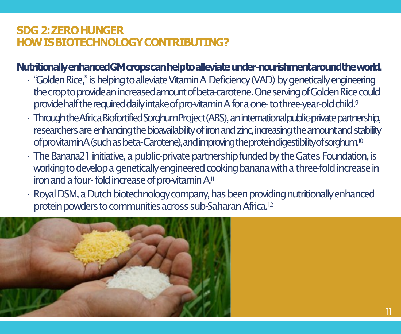### **SDG 2: ZEROHUNGER HOW IS BIOTECHNOLOGYCONTRIBUTING?**

### **NutritionallyenhancedGMcropscanhelptoalleviateunder-nourishmentaroundtheworld.**

- "Golden Rice," is helping to alleviate Vitamin A Deficiency (VAD) by genetically engineering the crop to provide an increased amount of beta-carotene. One serving of Golden Rice could provide half the required daily intake of pro-vitamin A for a one-to three-year-old child.<sup>9</sup>
- Through the Africa Biofortified Sorghum Project (ABS), an international public-private partnership, researchers are enhancing the bioavailability of iron and zinc, increasing the amount and stability ofprovitaminA(suchasbeta-Carotene),andimprovingtheproteindigestibilityofsorghum.10
- The Banana21 initiative, a public-private partnership funded by the Gates Foundation, is working to develop a genetically engineered cooking banana with a three-fold increase in iron and a four-fold increase of pro-vitamin A<sup>11</sup>
- Royal DSM, a Dutch biotechnology company, has been providing nutritionally enhanced protein powders to communities across sub-Saharan Africa.<sup>12</sup>

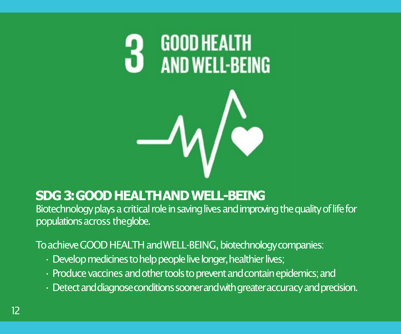

### **SDG 3: GOOD HEALTHAND WELL-BEING**

Biotechnology plays a critical role in saving lives and improving the quality of life for populations across theglobe.

To achieve GOOD HEALTH and WELL-BEING, biotechnology companies:

- $\cdot$  Develop medicines to help people live longer, healthier lives;
- Produce vaccines and other tools to prevent and contain epidemics; and
- $\cdot$  Detect and diagnose conditions sooner and with greater accuracy and precision.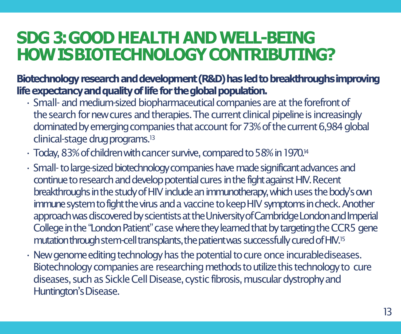## **SDG 3: GOOD HEALTH AND WELL-BEING HOW IS BIOTECHNOLOGYCONTRIBUTING?**

Biotechnology research and development (R&D) has led to breakthroughs improving life expectancy and quality of life for the global population.

- Small- and medium-sized biopharmaceutical companies are at the forefront of the search for new cures and therapies. The current clinical pipeline is increasingly dominated by emerging companies that account for 73% of the current 6,984 global clinical-stage drug programs.<sup>13</sup>
- Today, 83% of children with cancer survive, compared to 58% in 1970.<sup>14</sup>
- Small-to large-sized biotechnology companies have made significant advances and continue to research and develop potential cures in the fight against HIV. Recent breakthroughs in the study of HIV include an immunotherapy, which uses the body's own immune system to fight the virus and a vaccine to keep HIV symptoms in check. Another approach was discovered by scientists at the University of Cambridge London and Imperial College in the "London Patient" case where they learned that by targeting the CCR5 gene mutation through stem-cell transplants, the patient was successfully cured of HIV.<sup>15</sup>
- New genome editing technology has the potential to cure once incurablediseases. Biotechnology companies are researching methods to utilize this technology to cure diseases, such as Sickle Cell Disease, cystic fibrosis, muscular dystrophy and Huntington's Disease.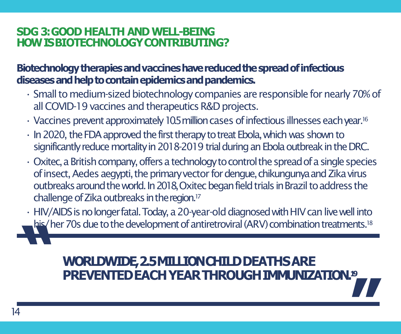### **SDG 3: GOOD HEALTH AND WELL-BEING HOW IS BIOTECHNOLOGYCONTRIBUTING?**

### **Biotechnologytherapiesandvaccineshavereducedthespreadofinfectious diseasesandhelptocontainepidemicsandpandemics.**

- Small to medium-sized biotechnology companies are responsible for nearly 70% of all COVID-19 vaccines and therapeutics R&D projects.
- Vaccines prevent approximately 10.5 million cases of infectious illnesses eachyear.16
- In2020, the FDA approved the first therapy to treat Ebola, which was shown to significantly reduce mortality in 2018-2019 trial during an Ebola outbreak in the DRC.
- $\cdot$  Oxitec, a British company, offers a technology to control the spread of a single species of insect, Aedes aegypti, the primary vector for dengue, chikungunya and Zika virus outbreaks around the world. In 2018, Oxitec began field trials in Brazil to address the challenge of Zika outbreaks in theregion.17
- **"** • HIV/AIDS is no longer fatal. Today, a 20-year-old diagnosed with HIV can live well into his/ her 70s due to the development of antiretroviral (ARV) combination treatments.<sup>18</sup>

## **WORLDWIDE,2.5MILLIONCHILDDEATHSARE PREVENTEDEACHYEARTHROUGHIMMUNIZATION. 19 "**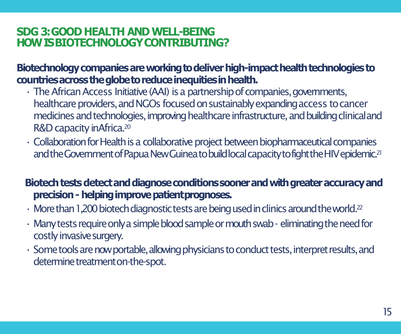### **SDG 3: GOOD HEALTH AND WELL-BEING HOW IS BIOTECHNOLOGYCONTRIBUTING?**

### **Biotechnologycompaniesareworkingtodeliverhigh-impacthealthtechnologiesto countriesacrosstheglobetoreduceinequitiesinhealth.**

- The African Access Initiative (AAI) is a partnership of companies, governments, healthcare providers, and NGOs focused on sustainably expanding access to cancer medicines and technologies, improving healthcare infrastructure, and building clinicaland R&D capacity inAfrica.20
- Collaboration for Health is a collaborative project between biopharmaceutical companies and the Government of Papua New Guinea to build local capacity to fight the HIV epidemic.<sup>21</sup>

### Biotech tests detect and diagnose conditions sooner and with greater accuracy and **precision -helping improve patientprognoses.**

- $\cdot$  More than 1,200 biotech diagnostic tests are being used in clinics around the world.<sup>22</sup>
- Many tests require only a simple blood sample or mouth swab eliminating the need for costly invasive surgery.
- Some tools are now portable, allowing physicians to conduct tests, interpret results, and determine treatmenton-the-spot.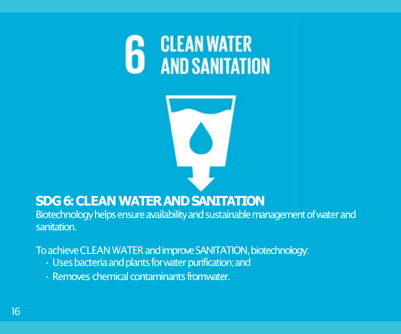

|  | ÷ |  |
|--|---|--|
|  |   |  |

### **SDG 6: CLEAN WATER AND SANITATION**

Biotechnology helps ensure availability and sustainable management of water and sanitation.

To achieve CLEAN WATER and improve SANITATION, biotechnology:

- Uses bacteria and plants for water purification; and
- Removes chemical contaminants fromwater.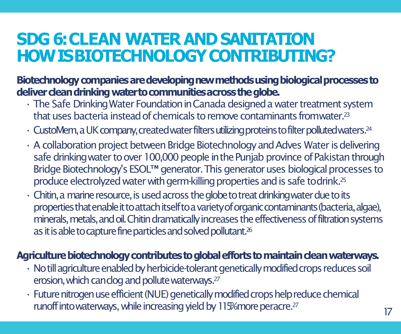## **SDG 6: CLEAN WATER AND SANITATION HOW IS BIOTECHNOLOGYCONTRIBUTING?**

**Biotechnologycompaniesaredevelopingnewmethodsusingbiologicalprocessesto delivercleandrinkingwatertocommunitiesacrosstheglobe.**

- The Safe Drinking Water Foundation in Canada designed a water treatment system that uses bacteria instead of chemicals to remove contaminants fromwater.<sup>23</sup>
- $\cdot$  CustoMem, a UK company, created water filters utilizing proteins to filter polluted waters.  $^{24}$
- A collaboration project between Bridge Biotechnology and Adves Water is delivering safe drinking water to over 100,000 people in the Punjab province of Pakistan through Bridge Biotechnology's ESOL™ generator. This generator uses biological processes to produce electrolyzed water with germ-killing properties and is safe todrink.25
- $\cdot$  Chitin, a marine resource, is used across the globe to treat drinking water due to its properties that enable it to attach itselfto a variety of organic contaminants (bacteria, algae), minerals, metals, and oil. Chitin dramatically increases the effectiveness of filtration systems as it is able to capture fine particles and solved pollutant.<sup>26</sup>

### Agriculture biotechnology contributes to global efforts to maintain clean waterways.

- No till agriculture enabled by herbicide-tolerant genetically modified crops reduces soil erosion, which canclog and pollute waterways.27
- Future nitrogen use efficient (NUE) genetically modified crops help reduce chemical runoff into waterways, while increasing yield by 115% more peracre.<sup>27</sup>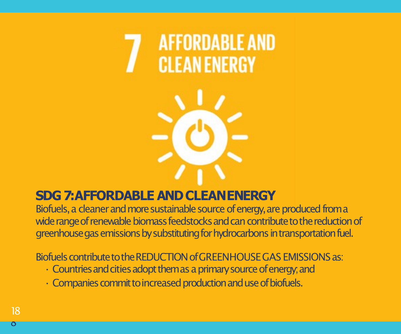## **AFFORDABLE AND CLEAN ENERGY**

### **SDG 7: AFFORDABLE AND CLEANENERGY**

Biofuels, a cleaner and more sustainable source of energy, are produced from a wide range of renewable biomass feedstocks and can contribute to the reduction of greenhouse gas emissions by substituting for hydrocarbons in transportation fuel.

Biofuels contribute to the REDUCTION of GREENHOUSE GAS EMISSIONS as:

- $\cdot$  Countries and cities adopt them as a primary source of energy; and
- $\cdot$  Companies commit to increased production and use of biofuels.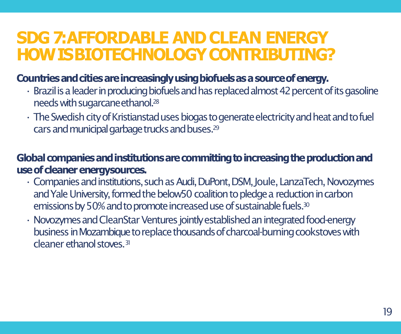## **SDG 7: AFFORDABLE AND CLEAN ENERGY HOW IS BIOTECHNOLOGYCONTRIBUTING?**

### **Countriesandcitiesareincreasinglyusingbiofuelsasasourceofenergy.**

- Brazil is a leader in producing biofuels and has replaced almost 42 percent of its gasoline needs with sugarcane ethanol.<sup>28</sup>
- The Swedish city of Kristianstad uses biogas to generate electricity and heat and to fuel cars and municipal garbage trucks and buses.<sup>29</sup>

### Global companies and institutions are committing to increasing the production and **use of cleaner energysources.**

- Companies and institutions, such as Audi, DuPont, DSM, Joule, LanzaTech, Novozymes and Yale University, formed the below50 coalition to pledge a reduction in carbon emissions by 50% and to promote increased use of sustainable fuels.<sup>30</sup>
- Novozymes and CleanStar Ventures jointly established an integrated food-energy business in Mozambique to replace thousands of charcoal-burning cookstoves with cleaner ethanol stoves.<sup>31</sup>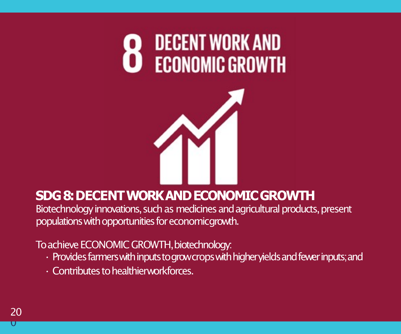



### **SDG 8: DECENT WORK AND ECONOMIC GROWTH**

Biotechnology innovations, such as medicines and agricultural products, present populations with opportunities for economicgrowth.

To achieve ECONOMIC GROWTH, biotechnology:

- Provides farmers with inputs to grow crops with higher yields and fewer inputs; and
- Contributes to healthierworkforces.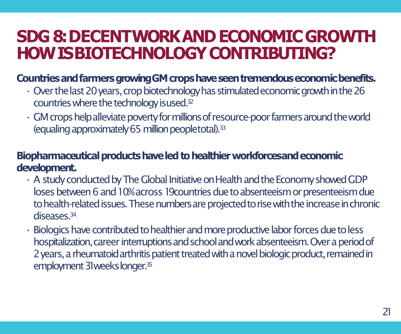## **SDG 8: DECENTWORK AND ECONOMIC GROWTH HOW IS BIOTECHNOLOGYCONTRIBUTING?**

### **CountriesandfarmersgrowingGMcropshaveseentremendouseconomicbenefits.**

- $\cdot$  Over the last 20 years, crop biotechnology has stimulated economic growth in the 26 countries where the technology isused.32
- $\cdot$  GM crops help alleviate poverty for millions of resource-poor farmers around the world (equaling approximately 65 million peopletotal).33

### **Biopharmaceutical products have led to healthier workforcesand economic development.**

- A study conducted by The Global Initiative on Health and the Economy showed GDP loses between 6 and 10% across 19 countries due to absenteeism or presenteeism due to health-related issues. These numbers are projected to rise with the increase in chronic diseases<sup>34</sup>
- Biologics have contributed to healthier and more productive labor forces due to less hospitalization, career interruptions and school and work absenteeism. Over a period of 2 years, a rheumatoid arthritis patient treated with a novel biologic product, remained in employment 31 weeks longer.<sup>35</sup>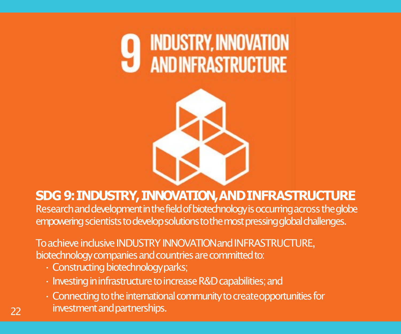



### **SDG 9: INDUSTRY, INNOVATION, ANDINFRASTRUCTURE**

Research and development in the field of biotechnology is occurring across the globe empowering scientists to develop solutions to the most pressing global challenges.

To achieve inclusive INDUSTRY INNOVATIONand INFRASTRUCTURE, biotechnology companies and countries are committed to:

• Constructing biotechnologyparks;

22

- Investing in infrastructure to increase R&D capabilities; and
- Connecting to the international community to createopportunities for investment and partnerships.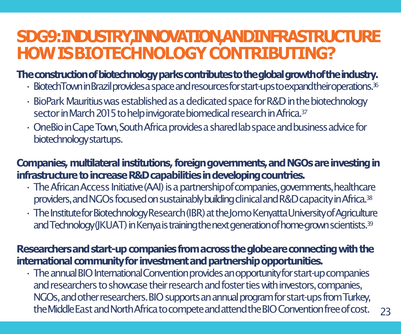## **SDG9:INDUSTRY,INNOVATION,ANDINFRASTRUCTURE HOW IS BIOTECHNOLOGYCONTRIBUTING?**

### **Theconstructionofbiotechnologyparkscontributestotheglobalgrowthoftheindustry.**

- BiotechTowninBrazilprovidesaspaceandresourcesforstart-upstoexpandtheiroperations.36
- BioPark Mauritius was established as a dedicated space for R&D in the biotechnology sector in March 2015 to help invigorate biomedical research in Africa.<sup>37</sup>
- OneBio in Cape Town, South Africa provides a shared lab space and business advice for biotechnologystartups.

### **Companies,multilateral institutions,foreigngovernments,andNGOsareinvestingin**  infrastructure to increase R&D capabilities in developing countries.

- The African Access Initiative (AAI) is a partnership of companies, governments, healthcare providers, and NGOs focused on sustainably building clinical and R&D capacity in Africa.<sup>38</sup>
- The Institute for Biotechnology Research (IBR) at the Jomo Kenyatta University of Agriculture and Technology (JKUAT) in Kenya is training the next generation of home-grown scientists.<sup>39</sup>

### Researchers and start-up companies from across the globe are connecting with the **international communityfor investmentandpartnershipopportunities.**

 $\cdot$  The annual BIO International Convention provides an opportunity for start-up companies and researchers to showcase their research and foster ties with investors, companies, NGOs, and other researchers. BIO supports an annual program for start-ups from Turkey, the Middle East and North Africa to compete and attend the BIO Convention free of cost.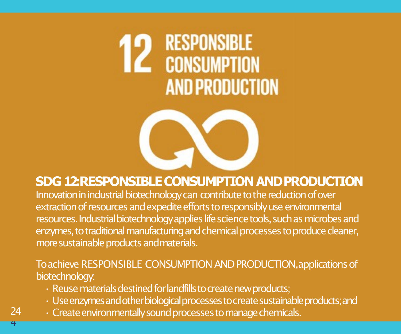# **12** RESPONSIBLE **AND PRODUCTION**



### **SDG 12: RESPONSIBLE CONSUMPTION ANDPRODUCTION**

Innovation in industrial biotechnology can contribute to the reduction of over extraction of resources and expedite efforts to responsibly use environmental resources. Industrial biotechnology applies life science tools, such as microbes and enzymes, to traditional manufacturing and chemical processes to produce cleaner, more sustainable products andmaterials.

### To achieve RESPONSIBLE CONSUMPTION AND PRODUCTION,applications of biotechnology:

- $\cdot$  Reuse materials destined for landfills to create new products;
- Use enzymes and other biological processes to create sustainable products; and
- Create environmentally sound processes to manage chemicals.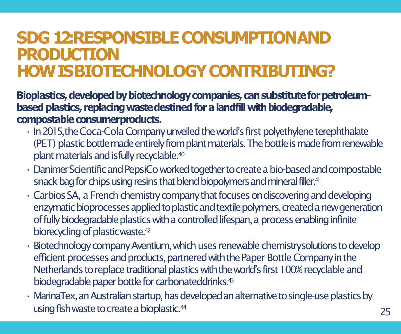## **SDG 12: RESPONSIBLE CONSUMPTION AND PRODUCTION HOW IS BIOTECHNOLOGYCONTRIBUTING?**

Bioplastics, developed by biotechnology companies, can substitute for petroleum**based plastics, replacing waste destined for a landfill with biodegradable, compostable consumerproducts.**

- In 2015, the Coca-Cola Company unveiled the world's first polyethylene terephthalate (PET) plastic bottle made entirely from plant materials. The bottle is made from renewable plant materials and isfully recyclable.40
- Danimer Scientific and PepsiCo worked together to create a bio-based and compostable snack bag for chips using resins that blend biopolymers and mineral filler.<sup>41</sup>
- Carbios SA, a French chemistry company that focuses on discovering and developing enzymatic bioprocesses applied to plastic and textile polymers, created a new generation of fully biodegradable plastics with a controlled lifespan, a process enabling infinite biorecycling of plasticwaste.<sup>42</sup>
- Biotechnology company Aventium, which uses renewable chemistrysolutions to develop efficient processes and products, partnered with the Paper Bottle Company in the Netherlands to replace traditional plastics with the world's first 100% recyclable and biodegradable paper bottle for carbonateddrinks.<sup>43</sup>
- MarinaTex, an Australian startup, has developed an alternative to single-use plastics by using fish waste to create a bioplastic.<sup>44</sup>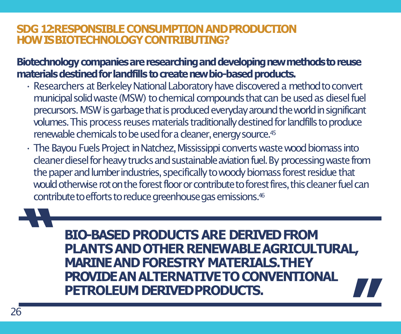### **SDG 12: RESPONSIBLE CONSUMPTION AND PRODUCTION HOW IS BIOTECHNOLOGYCONTRIBUTING?**

Biotechnology companies are researching and developing new methods to reuse materials destined for landfills to create new bio-based products.

- Researchers at Berkeley National Laboratory have discovered a method to convert municipal solid waste (MSW) to chemical compounds that can be used as diesel fuel precursors. MSW is garbage that is produced everyday around the world in significant volumes. This process reuses materials traditionally destined for landfills to produce renewable chemicals to be used for a cleaner, energy source.<sup>45</sup>
- The Bayou Fuels Project in Natchez, Mississippi converts waste wood biomass into cleaner diesel for heavy trucks and sustainable aviation fuel. By processing waste from the paper and lumber industries, specifically to woody biomass forest residue that would otherwise rot on the forest floor or contribute to forest fires, this cleaner fuel can contribute to efforts to reduce greenhouse gas emissions.<sup>46</sup>

## **BIO-BASED PRODUCTS ARE DERIVED FROM PLANTS AND OTHER RENEWABLE AGRICULTURAL, MARINE AND FORESTRY MATERIALS.THEY PROVIDE AN ALTERNATIVE TO CONVENTIONAL PETROLEUM DERIVEDPRODUCTS. "**

**"**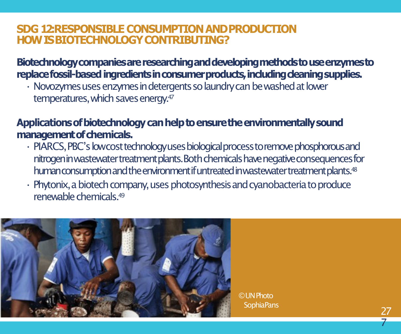### **SDG 12: RESPONSIBLE CONSUMPTION AND PRODUCTION HOW IS BIOTECHNOLOGYCONTRIBUTING?**

### **Biotechnologycompaniesareresearchinganddevelopingmethodstouseenzymesto**  replace fossil-based ingredients in consumer products, including deaning supplies.

• Novozymes uses enzymes in detergents so laundry can be washed at lower temperatures, which saves energy.<sup>47</sup>

### **Applicationsofbiotechnologycanhelptoensuretheenvironmentallysound**  management of chemicals.

- PIARCS, PBC's lowcost technology uses biological process to remove phosphorous and nitrogen in wastewater treatment plants. Both chemicals have negative consequences for human consumption and the environment if untreated in wastewater treatment plants.<sup>48</sup>
- Phytonix, a biotech company, uses photosynthesis and cyanobacteria to produce renewable chemicals 49



© UN Photo SophiaPans 27<br>27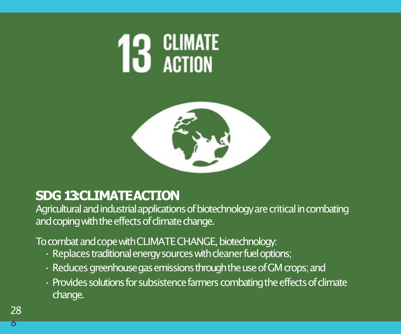



### **SDG 13: CLIMATE ACTION**

Agricultural and industrial applications of biotechnology are critical in combating and coping with the effects of climate change.

To combat and cope with CLIMATE CHANGE, biotechnology:

- Replaces traditional energy sources with cleaner fuel options;
- Reduces greenhouse gas emissions through the use of GM crops; and
- Provides solutions for subsistence farmers combating the effects of climate change.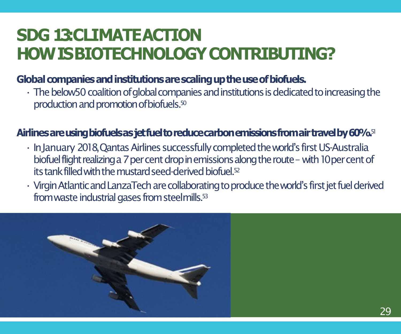## **SDG 13: CLIMATE ACTION HOW IS BIOTECHNOLOGYCONTRIBUTING?**

### Global companies and institutions are scaling up the use of biofuels.

 $\cdot$  The below50 coalition of global companies and institutions is dedicated to increasing the production and promotion of biofuels.<sup>50</sup>

### **Airlinesareusingbiofuelsasjetfueltoreducecarbonemissionsfromairtravelby60%.**<sup>51</sup>

- In January 2018, Qantas Airlines successfully completed the world's first US-Australia biofuel flight realizing a 7 per cent drop in emissions along the route - with 10 per cent of its tank filled with the mustard seed-derived biofuel.<sup>52</sup>
- $\cdot$  Virgin Atlantic and LanzaTech are collaborating to produce the world's first jet fuel derived from waste industrial gases from steelmills.53

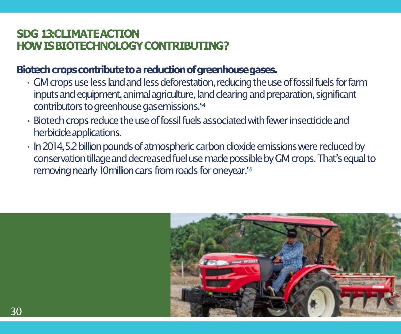### **SDG 13: CLIMATE ACTION HOW IS BIOTECHNOLOGYCONTRIBUTING?**

### Biotech crops contribute to a reduction of greenhouse gases.

- $\cdot$  GM crops use less land and less deforestation, reducing the use of fossil fuels for farm inputs and equipment, animal agriculture, land clearing and preparation, significant contributors to greenhouse gasemissions.54
- Biotech crops reduce the use of fossil fuels associated with fewer insecticide and herbicide applications.
- In 2014, 5.2 billion pounds of atmospheric carbon dioxide emissions were reduced by conservation tillage and decreased fuel use made possible by GM crops. That's equal to removing nearly 10 million cars from roads for oneyear.<sup>55</sup>

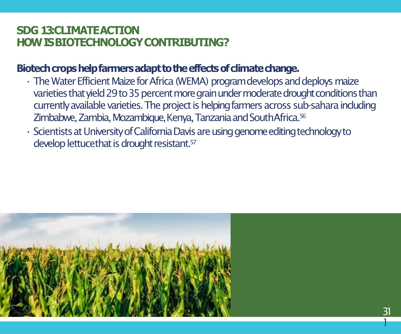### **SDG 13:CLIMATE ACTION HOW IS BIOTECHNOLOGYCONTRIBUTING?**

### Biotech crops help farmers adapt to the effects of climate change.

- The Water Efficient Maize for Africa (WEMA) program develops and deploys maize varieties that yield 29 to 35 percent more grain under moderate drought conditions than currently available varieties. The project is helping farmers across sub-sahara including Zimbabwe, Zambia, Mozambique, Kenya, Tanzania and SouthAfrica.56
- Scientists at University of California Davis are using genome editing technology to develop lettucethat is drought resistant.57

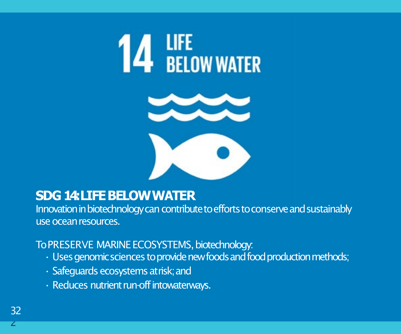



### **SDG 14: LIFE BELOWWATER**

Innovation in biotechnology can contribute to efforts to conserve and sustainably use oceanresources.

To PRESERVE MARINE ECOSYSTEMS, biotechnology:

- Uses genomic sciences to provide new foods and food production methods;
- Safeguards ecosystems atrisk; and
- Reduces nutrient run-off intowaterways.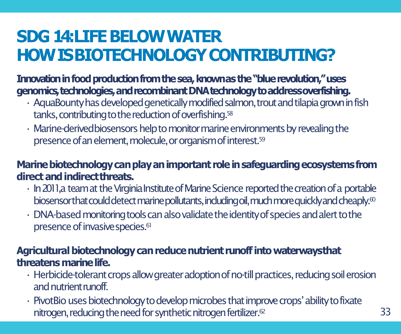## **SDG 14: LIFE BELOWWATER HOW IS BIOTECHNOLOGYCONTRIBUTING?**

**Innovation in food production from the sea, known as the "blue revolution," uses genomics,technologies,andrecombinantDNAtechnologytoaddressoverfishing.**

- $\cdot$  AquaBounty has developed genetically modified salmon, trout and tilapia grown in fish tanks, contributing to the reduction of overfishing.<sup>58</sup>
- Marine-derivedbiosensors help to monitor marine environments by revealing the presence of an element, molecule, or organism of interest.<sup>59</sup>

### **Marinebiotechnologycanplayanimportant roleinsafeguardingecosystemsfrom direct and indirectthreats.**

- In 2011, a team at the Virginia Institute of Marine Science reported the creation of a portable biosensorthat could detect marine pollutants, includingoil, much more quickly and cheaply.<sup>60</sup>
- $\cdot$  DNA-based monitoring tools can also validate the identity of species and alert to the presence of invasive species.<sup>61</sup>

### **Agricultural biotechnology can reduce nutrient runoff into waterwaysthat threatens marinelife.**

- $\cdot$  Herbicide-tolerant crops allow greater adoption of no-till practices, reducing soil erosion and nutrient **nutrient**
- PivotBio uses biotechnology to develop microbes that improve crops' ability to fixate nitrogen, reducing the need for synthetic nitrogen fertilizer.<sup>62</sup>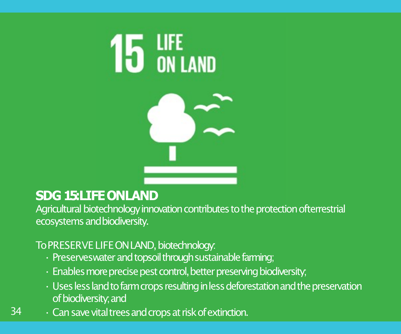



### **SDG 15: LIFE ONLAND**

Agricultural biotechnology innovation contributes to the protection ofterrestrial ecosystems andbiodiversity.

### To PRESERVE LIFE ON LAND, biotechnology:

- Preserveswater and topsoil through sustainable farming;
- Enables more precise pest control, better preserving biodiversity;
- Uses less land to farm crops resulting in less deforestation and the preservation of biodiversity;and
- 34  $\cdot$  Can save vital trees and crops at risk of extinction.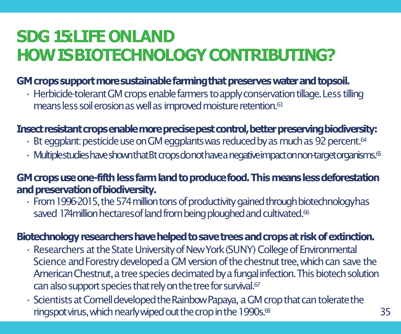## **SDG 15: LIFE ONLAND HOW IS BIOTECHNOLOGYCONTRIBUTING?**

### GM crops support more sustainable farming that preserves water and topsoil.

• Herbicide-tolerant GM crops enable farmers to apply conservation tillage. Less tilling means less soil erosion as well as improved moisture retention.<sup>63</sup>

### **Insectresistantcropsenablemoreprecisepestcontrol,betterpreservingbiodiversity:**

- $\cdot$  Bt eggplant: pesticide use on GM eggplants was reduced by as much as 92 percent.<sup>64</sup>
- $\cdot$  Multiplestudies have shown that Bt crops do not have a negative impact on non-target organisms.<sup>65</sup>

### GM crops use one-fifth less farm land to produce food. This means less deforestation **and preservation ofbiodiversity.**

• From 1996-2015, the 574 million tons of productivity gained through biotechnologyhas saved 174 million hectares of land from being ploughed and cultivated.<sup>66</sup>

### **Biotechnologyresearchershavehelpedtosavetreesandcropsat riskofextinction.**

- Researchers at the State University of New York (SUNY) College of Environmental Science and Forestry developed a GM version of the chestnut tree, which can save the American Chestnut, a tree species decimated by a fungal infection. This biotech solution can also support species that rely on the tree for survival. $67$
- Scientists at Cornell developed the Rainbow Papaya, a GM crop that can tolerate the ringspot virus, which nearly wiped out the crop in the 1990s. $68$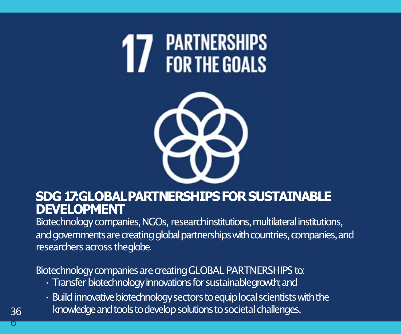



### **SDG 17: GLOBALPARTNERSHIPS FOR SUSTAINABLE DEVELOPMENT**

Biotechnology companies, NGOs, researchinstitutions, multilateral institutions, and governments are creating global partnerships with countries, companies, and researchers across theglobe.

Biotechnology companies are creating GLOBAL PARTNERSHIPS to:

- Transfer biotechnology innovations for sustainablegrowth; and
- $\cdot$  Build innovative biotechnology sectors to equiplocal scientists with the
- knowledge and tools to develop solutions to societal challenges.

36 ი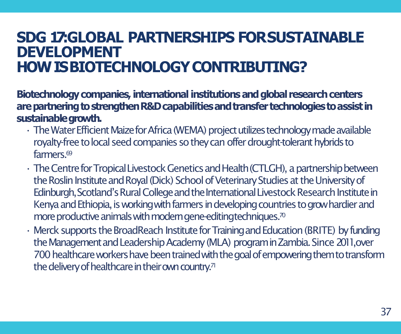### **SDG 17: GLOBAL PARTNERSHIPS FORSUSTAINABLE DEVELOPMENT HOW IS BIOTECHNOLOGYCONTRIBUTING?**

**Biotechnology companies, international institutions and global research centers arepartneringtostrengthenR&D capabilitiesandtransfer technologiestoassist in sustainablegrowth.**

- The Water Efficient Maize for Africa (WEMA) project utilizes technology made available royalty-free to local seed companies so they can offer drought-tolerant hybrids to farmers<sup>69</sup>
- The Centre for Tropical Livestock Genetics and Health (CTLGH), a partnership between the Roslin Institute and Royal (Dick) School of Veterinary Studies at the University of Edinburgh, Scotland's Rural College and the International Livestock Research Institute in Kenya and Ethiopia, is working with farmers in developing countries to grow hardier and more productive animals with modern gene-editing techniques.<sup>70</sup>
- Merck supports the BroadReach Institute for Training and Education (BRITE) by funding the Management and Leadership Academy (MLA) program in Zambia. Since 2011, over 700 healthcare workers have been trained with the goal of empowering them to transform the delivery of healthcare in their own country.<sup>71</sup>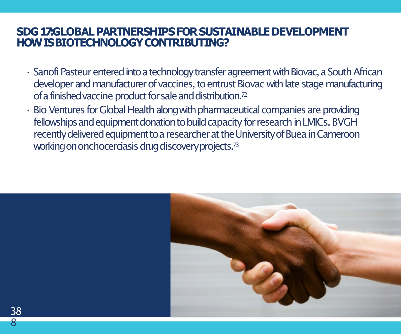### **SDG17: GLOBALPARTNERSHIPSFORSUSTAINABLEDEVELOPMENT HOW IS BIOTECHNOLOGYCONTRIBUTING?**

- Sanofi Pasteur entered into a technology transfer agreement with Biovac, a South African developer and manufacturer of vaccines, to entrust Biovac with late stage manufacturing of a finished vaccine product for sale and distribution.<sup>72</sup>
- Bio Ventures for Global Health along with pharmaceutical companies are providing fellowships and equipment donation to build capacity for research in LMICs. BVGH recently delivered equipment to a researcher at the University of Buea in Cameroon working on onchocerciasis drug discoveryprojects.73

3 388

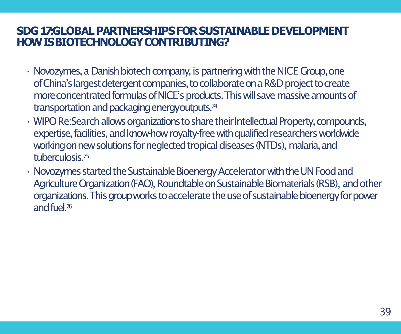### **SDG17: GLOBALPARTNERSHIPSFORSUSTAINABLEDEVELOPMENT HOW IS BIOTECHNOLOGYCONTRIBUTING?**

- Novozymes, a Danish biotech company, is partnering with the NICE Group, one of China's largest detergent companies, to collaborate on a R&D project to create more concentrated formulas of NICE's products. This will save massive amounts of transportation and packaging energyoutputs.74
- WIPO Re:Search allows organizations to share their Intellectual Property, compounds, expertise, facilities, and know-how royalty-free with qualified researchers worldwide working on new solutions for neglected tropical diseases (NTDs), malaria, and tuberculosis.75
- Novozymes started the Sustainable Bioenergy Accelerator with the UN Food and Agriculture Organization (FAO), Roundtable on Sustainable Biomaterials (RSB), and other organizations. This group works to accelerate the use of sustainable bioenergy for power and fuel  $\frac{76}{ }$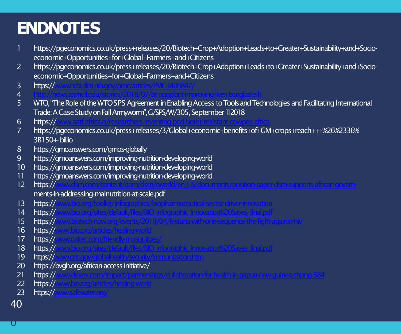## **ENDNOTES**

- 1 https://pgeconomics.co.uk/press+releases/20/Biotech+Crop+Adoption+Leads+to+Greater+Sustainability+and+Socioeconomic+Opportunities+for+Global+Farmers+and+Citizens 2 https://pgeconomics.co.uk/press+releases/20/Biotech+Crop+Adoption+Leads+to+Greater+Sustainability+and+Socioeconomic+Opportunities+for+Global+Farmers+and+Citizens  $3$  https:// 4 <http://news.cornell.edu/stories/2018/07/bt-eggplant-improving-lives-bangladesh> 5 WTO, "The Role of the WTOSPS Agreement in Enabling Access to Tools and Technologies and Facilitating International Trade: A Case Study on Fall Armyworm", G/SPS/W/305, September 112018 6 https:/[/www.aatf-africa.o/researchers-inventing-pod-borer-resistant-cowpea-africa](http://www.aatf-africa.o/researchers-inventing-pod-borer-resistant-cowpea-africa) 7 https://pgeconomics.co.uk/press+releases/3/Global+economic+benefits+of+GM+crops+reach+++%26%2336% 3B150+-billio 8 https://gmoanswers.com/gmos-globally 9 https://gmoanswers.com/improving-nutrition-developing-world 10 https://gmoanswers.com/improving-nutrition-developing-world 11 https://gmoanswers.com/improving-nutrition-developing-world 12 https:/[/www.dsm.com/content/dam/dsm/cworld/en\\_US/documents/position-paper-dsm-supports-african-govern](http://www.dsm.com/content/dam/dsm/cworld/en_US/documents/position-paper-dsm-supports-african-govern-)ments-in-addressing-malnutrition-at-scale.pdf 13 https:/[/www.bio.org/toolkit/infographics/biopharmaceutical-sector-driver-innovation](http://www.bio.org/toolkit/infographics/biopharmaceutical-sector-driver-innovation) 14 https:/[/www.bio.org/sites/default/files/BIO\\_infographic\\_Innovation%20Saves\\_final.pdf](http://www.bio.org/sites/default/files/BIO_infographic_Innovation%20Saves_final.pdf) 15 https:/[/www.biotech-now.org/events/2019/04/it-starts-with-one-sequence-the-fight-against-hiv](http://www.biotech-now.org/events/2019/04/it-starts-with-one-sequence-the-fight-against-hiv) 16  $https://$ 17 https:// 18 https:/[/www.bio.org/sites/default/files/BIO\\_infographic\\_Innovation%20Saves\\_final.pdf](http://www.bio.org/sites/default/files/BIO_infographic_Innovation%20Saves_final.pdf) 19 https:// $\sqrt{ }$ 20 https://bvgh.org/african-access-initiative/ 21 https:/[/www.devex.com/impact/partnerships/collaboration-for-health-in-papua-new-guinea-chpng-584](http://www.devex.com/impact/partnerships/collaboration-for-health-in-papua-new-guinea-chpng-584) 22 https:// $\sqrt{ }$
- 23  $https://$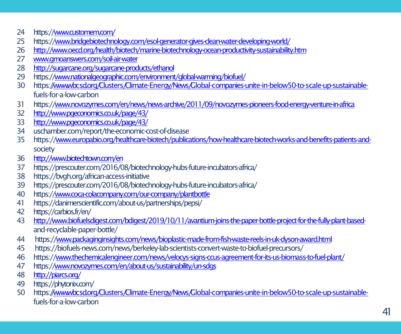- https:/[/www.customem.com/](http://www.customem.com/)
- https:/[/www.bridgebiotechnology.com/esol-generator-gives-clean-water-developing-world/](http://www.bridgebiotechnology.com/esol-generator-gives-clean-water-developing-world/)
- <http://www.oecd.org/health/biotech/marine-biotechnology-ocean-productivity-sustainability.htm>
- [www.gmoanswers.com/soil-air-water](http://www.gmoanswers.com/soil-air-water)
- <http://sugarcane.org/sugarcane-products/ethanol>
- https:/[/www.nationalgeographic.com/environment/global-warming/biofuel/](http://www.nationalgeographic.com/environment/global-warming/biofuel/)
- https:[//www.wbcsd.org/Clusters/Climate-Energy/News/Global-companies-unite-in-below50-to-scale-up-sustainable](http://www.wbcsd.org/Clusters/Climate-Energy/News/Global-companies-unite-in-below50-to-scale-up-sustainable-)fuels-for-a-low-carbon
- https:/[/www.novozymes.com/en/news/news-archive/2011/09/novozymes-pioneers-food-energy-venture-in-africa](http://www.novozymes.com/en/news/news-archive/2011/09/novozymes-pioneers-food-energy-venture-in-africa)
- <http://www.pgeconomics.co.uk/page/43/>
- <http://www.pgeconomics.co.uk/page/43/>
- uschamber.com/report/the-economic-cost-of-disease
- https:/[/www.europabio.org/healthcare-biotech/publications/how-healthcare-biotech-works-and-benefits-patients-and](http://www.europabio.org/healthcare-biotech/publications/how-healthcare-biotech-works-and-benefits-patients-and-)society
- <http://www.biotechtown.com/en>
- https://prescouter.com/2016/08/biotechnology-hubs-future-incubators-africa/
- https://bvgh.org/african-access-initiative
- https://prescouter.com/2016/08/biotechnology-hubs-future-incubators-africa/
- https:/[/www.coca-colacompany.com/our-company/plantbottle](http://www.coca-colacompany.com/our-company/plantbottle)
- https://danimerscientific.com/about-us/partnerships/pepsi/
- https://carbios.fr/en/
- [http://www.biofuelsdigest.com/bdigest/2019/10/11/avantium-joins-the-paper-bottle-project-for-the-fully-plant-based](http://www.biofuelsdigest.com/bdigest/2019/10/11/avantium-joins-the-paper-bottle-project-for-the-fully-plant-based-)and-recyclable-paper-bottle/
- https:/[/www.packaginginsights.com/news/bioplastic-made-from-fish-waste-reels-in-uk-dyson-award.html](http://www.packaginginsights.com/news/bioplastic-made-from-fish-waste-reels-in-uk-dyson-award.html)
- https://biofuels-news.com/news/berkeley-lab-scientists-convert-waste-to-biofuel-precursors/
- https:/[/www.thechemicalengineer.com/news/velocys-signs-ccus-agreement-for-its-us-biomass-to-fuel-plant/](http://www.thechemicalengineer.com/news/velocys-signs-ccus-agreement-for-its-us-biomass-to-fuel-plant/)
- https:/[/www.novozymes.com/en/about-us/sustainability/un-sdgs](http://www.novozymes.com/en/about-us/sustainability/un-sdgs)
- <http://piarcs.org/>
- https://phytonix.com/
- https:[//www.wbcsd.org/Clusters/Climate-Energy/News/Global-companies-unite-in-below50-to-scale-up-sustainable](http://www.wbcsd.org/Clusters/Climate-Energy/News/Global-companies-unite-in-below50-to-scale-up-sustainable-)fuels-for-a-low-carbon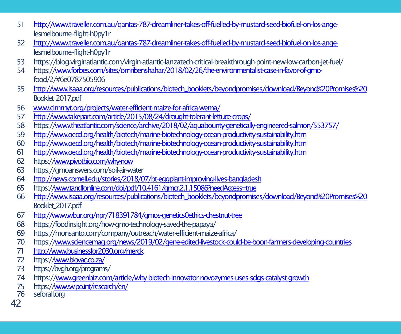- [http://www.traveller.com.au/qantas-787-dreamliner-takes-off-fuelled-by-mustard-seed-biofuel-on-los-ange](http://www.traveller.com.au/qantas-787-dreamliner-takes-off-fuelled-by-mustard-seed-biofuel-on-los-ange-)lesmelbourne-flight-h0py1r
- [http://www.traveller.com.au/qantas-787-dreamliner-takes-off-fuelled-by-mustard-seed-biofuel-on-los-ange](http://www.traveller.com.au/qantas-787-dreamliner-takes-off-fuelled-by-mustard-seed-biofuel-on-los-ange-)lesmelbourne-flight-h0py1r
- https://blog.virginatlantic.com/virgin-atlantic-lanzatech-critical-breakthrough-point-new-low-carbon-jet-fuel/
- https:/[/www.forbes.com/sites/omribenshahar/2018/02/26/the-environmentalist-case-in-favor-of-gmo](http://www.forbes.com/sites/omribenshahar/2018/02/26/the-environmentalist-case-in-favor-of-gmo-)food/2/#6e0787505906
- [http://www.isaaa.org/resources/publications/biotech\\_booklets/beyondpromises/download/Beyond%20Promises%20](http://www.isaaa.org/resources/publications/biotech_booklets/beyondpromises/download/Beyond%20Promises%20)  Booklet\_2017.pdf
- [www.cimmyt.org/projects/water-efficient-maize-for-africa-wema/](http://www.cimmyt.org/projects/water-efficient-maize-for-africa-wema/)
- <http://www.takepart.com/article/2015/08/24/drought-tolerant-lettuce-crops/>
- https:/[/www.theatlantic.com/science/archive/2018/02/aquabounty-genetically-engineered-salmon/553757/](http://www.theatlantic.com/science/archive/2018/02/aquabounty-genetically-engineered-salmon/553757/)
- <http://www.oecd.org/health/biotech/marine-biotechnology-ocean-productivity-sustainability.htm>
- <http://www.oecd.org/health/biotech/marine-biotechnology-ocean-productivity-sustainability.htm>
- <http://www.oecd.org/health/biotech/marine-biotechnology-ocean-productivity-sustainability.htm>
- https:/[/www.pivotbio.com/why-now](http://www.pivotbio.com/why-now)
- https://gmoanswers.com/soil-air-water
- <http://news.cornell.edu/stories/2018/07/bt-eggplant-improving-lives-bangladesh>
- https:/[/www.tandfonline.com/doi/pdf/10.4161/gmcr.2.1.15086?needAccess=true](http://www.tandfonline.com/doi/pdf/10.4161/gmcr.2.1.15086?needAccess=true)
- [http://www.isaaa.org/resources/publications/biotech\\_booklets/beyondpromises/download/Beyond%20Promises%20](http://www.isaaa.org/resources/publications/biotech_booklets/beyondpromises/download/Beyond%20Promises%20)  Booklet\_2017.pdf
- <http://www.wbur.org/npr/718391784/gmos-genetics0ethics-chestnut-tree>
- https://foodinsight.org/how-gmo-technology-saved-the-papaya/
- https://monsanto.com/company/outreach/water-efficient-maize-africa/
- https:/[/www.sciencemag.org/news/2019/02/gene-edited-livestock-could-be-boon-farmers-developing-countries](http://www.sciencemag.org/news/2019/02/gene-edited-livestock-could-be-boon-farmers-developing-countries)
- <http://www.businessfor2030.org/merck>
- https:/[/www.biovac.co.za/](http://www.biovac.co.za/)
- https://bvgh.org/programs/
- https:/[/www.greenbiz.com/article/why-biotech-innovator-novozymes-uses-sdgs-catalyst-growth](http://www.greenbiz.com/article/why-biotech-innovator-novozymes-uses-sdgs-catalyst-growth)
- 75 https:/[/www.wipo.int/research/en/](http://www.wipo.int/research/en/)<br>76 seforalLorg
- seforall.org